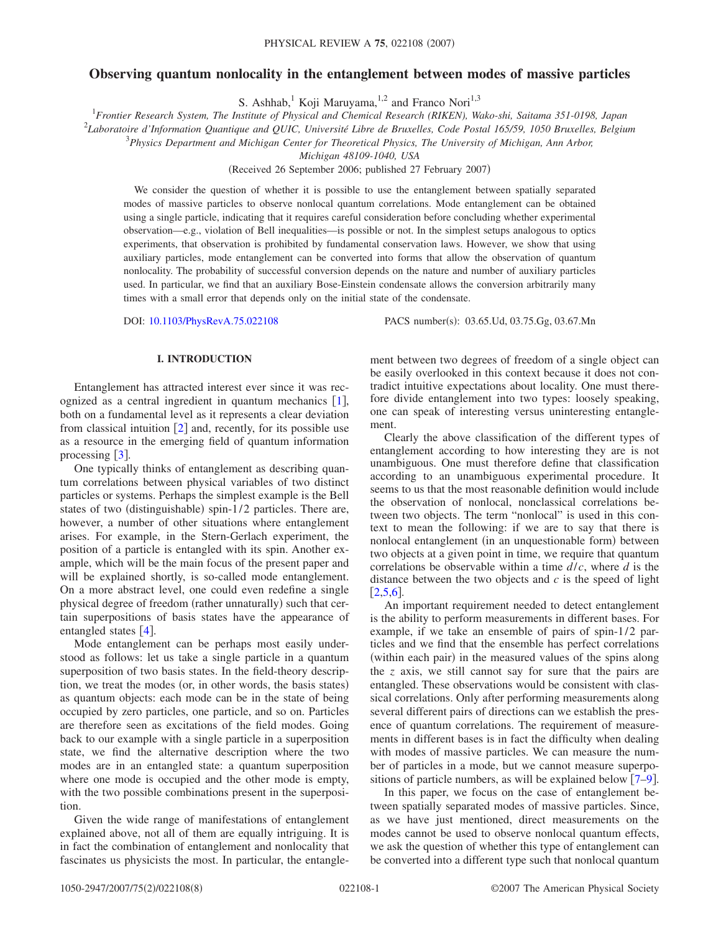# **Observing quantum nonlocality in the entanglement between modes of massive particles**

S. Ashhab,<sup>1</sup> Koji Maruyama,<sup>1,2</sup> and Franco Nori<sup>1,3</sup>

1 *Frontier Research System, The Institute of Physical and Chemical Research (RIKEN), Wako-shi, Saitama 351-0198, Japan*

2 *Laboratoire d'Information Quantique and QUIC, Université Libre de Bruxelles, Code Postal 165/59, 1050 Bruxelles, Belgium*

3 *Physics Department and Michigan Center for Theoretical Physics, The University of Michigan, Ann Arbor,*

*Michigan 48109-1040, USA*

(Received 26 September 2006; published 27 February 2007)

We consider the question of whether it is possible to use the entanglement between spatially separated modes of massive particles to observe nonlocal quantum correlations. Mode entanglement can be obtained using a single particle, indicating that it requires careful consideration before concluding whether experimental observation—e.g., violation of Bell inequalities—is possible or not. In the simplest setups analogous to optics experiments, that observation is prohibited by fundamental conservation laws. However, we show that using auxiliary particles, mode entanglement can be converted into forms that allow the observation of quantum nonlocality. The probability of successful conversion depends on the nature and number of auxiliary particles used. In particular, we find that an auxiliary Bose-Einstein condensate allows the conversion arbitrarily many times with a small error that depends only on the initial state of the condensate.

DOI: [10.1103/PhysRevA.75.022108](http://dx.doi.org/10.1103/PhysRevA.75.022108)

PACS number(s): 03.65.Ud, 03.75.Gg, 03.67.Mn

## **I. INTRODUCTION**

Entanglement has attracted interest ever since it was recognized as a central ingredient in quantum mechanics  $[1]$  $[1]$  $[1]$ , both on a fundamental level as it represents a clear deviation from classical intuition  $\lceil 2 \rceil$  $\lceil 2 \rceil$  $\lceil 2 \rceil$  and, recently, for its possible use as a resource in the emerging field of quantum information processing  $\lceil 3 \rceil$  $\lceil 3 \rceil$  $\lceil 3 \rceil$ .

One typically thinks of entanglement as describing quantum correlations between physical variables of two distinct particles or systems. Perhaps the simplest example is the Bell states of two (distinguishable) spin-1/2 particles. There are, however, a number of other situations where entanglement arises. For example, in the Stern-Gerlach experiment, the position of a particle is entangled with its spin. Another example, which will be the main focus of the present paper and will be explained shortly, is so-called mode entanglement. On a more abstract level, one could even redefine a single physical degree of freedom (rather unnaturally) such that certain superpositions of basis states have the appearance of entangled states  $\lceil 4 \rceil$  $\lceil 4 \rceil$  $\lceil 4 \rceil$ .

Mode entanglement can be perhaps most easily understood as follows: let us take a single particle in a quantum superposition of two basis states. In the field-theory description, we treat the modes (or, in other words, the basis states) as quantum objects: each mode can be in the state of being occupied by zero particles, one particle, and so on. Particles are therefore seen as excitations of the field modes. Going back to our example with a single particle in a superposition state, we find the alternative description where the two modes are in an entangled state: a quantum superposition where one mode is occupied and the other mode is empty, with the two possible combinations present in the superposition.

Given the wide range of manifestations of entanglement explained above, not all of them are equally intriguing. It is in fact the combination of entanglement and nonlocality that fascinates us physicists the most. In particular, the entanglement between two degrees of freedom of a single object can be easily overlooked in this context because it does not contradict intuitive expectations about locality. One must therefore divide entanglement into two types: loosely speaking, one can speak of interesting versus uninteresting entanglement.

Clearly the above classification of the different types of entanglement according to how interesting they are is not unambiguous. One must therefore define that classification according to an unambiguous experimental procedure. It seems to us that the most reasonable definition would include the observation of nonlocal, nonclassical correlations between two objects. The term "nonlocal" is used in this context to mean the following: if we are to say that there is nonlocal entanglement (in an unquestionable form) between two objects at a given point in time, we require that quantum correlations be observable within a time *d*/*c*, where *d* is the distance between the two objects and *c* is the speed of light  $|2,5,6|$  $|2,5,6|$  $|2,5,6|$  $|2,5,6|$  $|2,5,6|$ .

An important requirement needed to detect entanglement is the ability to perform measurements in different bases. For example, if we take an ensemble of pairs of spin-1/2 particles and we find that the ensemble has perfect correlations (within each pair) in the measured values of the spins along the *z* axis, we still cannot say for sure that the pairs are entangled. These observations would be consistent with classical correlations. Only after performing measurements along several different pairs of directions can we establish the presence of quantum correlations. The requirement of measurements in different bases is in fact the difficulty when dealing with modes of massive particles. We can measure the number of particles in a mode, but we cannot measure superpositions of particle numbers, as will be explained below  $\lceil 7-9 \rceil$  $\lceil 7-9 \rceil$  $\lceil 7-9 \rceil$ .

In this paper, we focus on the case of entanglement between spatially separated modes of massive particles. Since, as we have just mentioned, direct measurements on the modes cannot be used to observe nonlocal quantum effects, we ask the question of whether this type of entanglement can be converted into a different type such that nonlocal quantum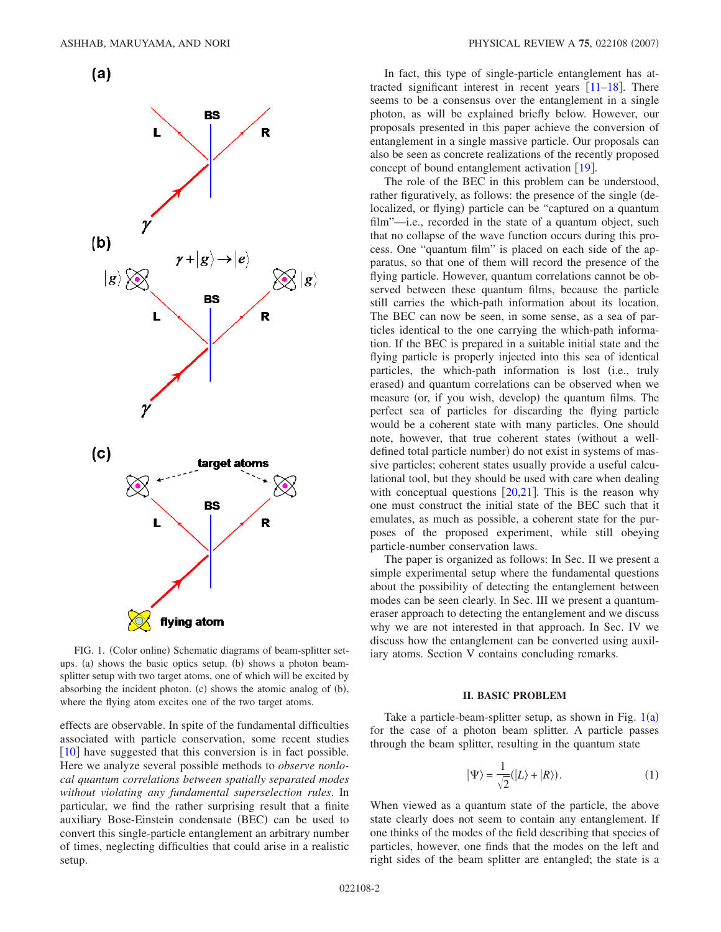

<span id="page-1-0"></span>

FIG. 1. (Color online) Schematic diagrams of beam-splitter setups. (a) shows the basic optics setup. (b) shows a photon beamsplitter setup with two target atoms, one of which will be excited by absorbing the incident photon.  $(c)$  shows the atomic analog of  $(b)$ , where the flying atom excites one of the two target atoms.

effects are observable. In spite of the fundamental difficulties associated with particle conservation, some recent studies  $\lceil 10 \rceil$  $\lceil 10 \rceil$  $\lceil 10 \rceil$  have suggested that this conversion is in fact possible. Here we analyze several possible methods to *observe nonlocal quantum correlations between spatially separated modes without violating any fundamental superselection rules*. In particular, we find the rather surprising result that a finite auxiliary Bose-Einstein condensate (BEC) can be used to convert this single-particle entanglement an arbitrary number of times, neglecting difficulties that could arise in a realistic setup.

In fact, this type of single-particle entanglement has attracted significant interest in recent years  $\lceil 11-18 \rceil$  $\lceil 11-18 \rceil$  $\lceil 11-18 \rceil$ . There seems to be a consensus over the entanglement in a single photon, as will be explained briefly below. However, our proposals presented in this paper achieve the conversion of entanglement in a single massive particle. Our proposals can also be seen as concrete realizations of the recently proposed concept of bound entanglement activation  $\lceil 19 \rceil$  $\lceil 19 \rceil$  $\lceil 19 \rceil$ .

The role of the BEC in this problem can be understood, rather figuratively, as follows: the presence of the single (delocalized, or flying) particle can be "captured on a quantum film"—i.e., recorded in the state of a quantum object, such that no collapse of the wave function occurs during this process. One "quantum film" is placed on each side of the apparatus, so that one of them will record the presence of the flying particle. However, quantum correlations cannot be observed between these quantum films, because the particle still carries the which-path information about its location. The BEC can now be seen, in some sense, as a sea of particles identical to the one carrying the which-path information. If the BEC is prepared in a suitable initial state and the flying particle is properly injected into this sea of identical particles, the which-path information is lost (i.e., truly erased) and quantum correlations can be observed when we measure (or, if you wish, develop) the quantum films. The perfect sea of particles for discarding the flying particle would be a coherent state with many particles. One should note, however, that true coherent states (without a welldefined total particle number) do not exist in systems of massive particles; coherent states usually provide a useful calculational tool, but they should be used with care when dealing with conceptual questions  $[20,21]$  $[20,21]$  $[20,21]$  $[20,21]$ . This is the reason why one must construct the initial state of the BEC such that it emulates, as much as possible, a coherent state for the purposes of the proposed experiment, while still obeying particle-number conservation laws.

The paper is organized as follows: In Sec. II we present a simple experimental setup where the fundamental questions about the possibility of detecting the entanglement between modes can be seen clearly. In Sec. III we present a quantumeraser approach to detecting the entanglement and we discuss why we are not interested in that approach. In Sec. IV we discuss how the entanglement can be converted using auxiliary atoms. Section V contains concluding remarks.

#### **II. BASIC PROBLEM**

<span id="page-1-1"></span>Take a particle-beam-splitter setup, as shown in Fig.  $1(a)$  $1(a)$ for the case of a photon beam splitter. A particle passes through the beam splitter, resulting in the quantum state

$$
|\Psi\rangle = \frac{1}{\sqrt{2}}(|L\rangle + |R\rangle). \tag{1}
$$

When viewed as a quantum state of the particle, the above state clearly does not seem to contain any entanglement. If one thinks of the modes of the field describing that species of particles, however, one finds that the modes on the left and right sides of the beam splitter are entangled; the state is a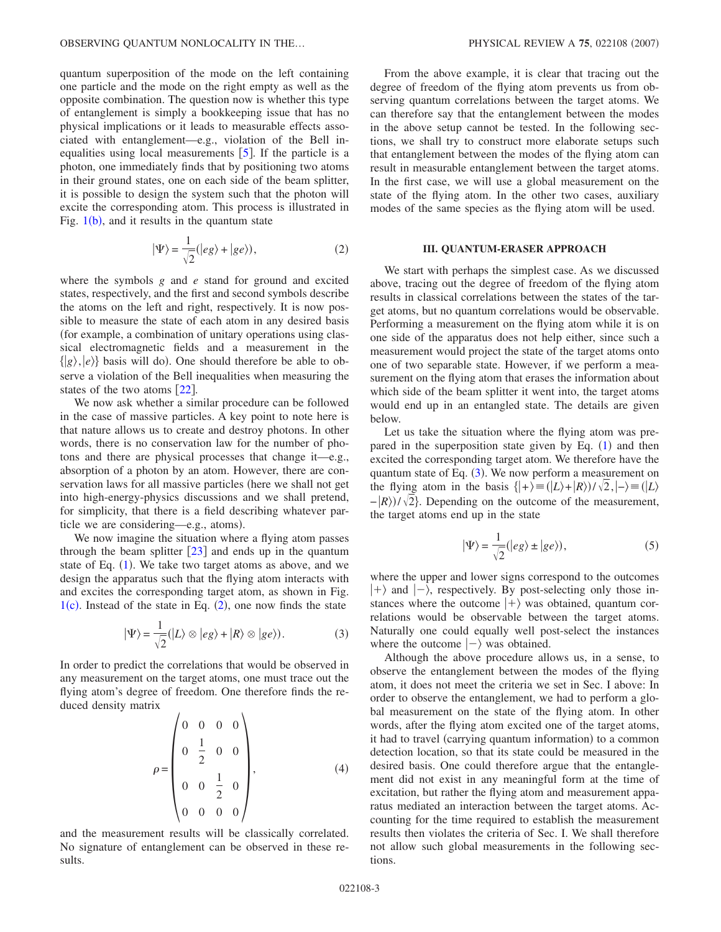quantum superposition of the mode on the left containing one particle and the mode on the right empty as well as the opposite combination. The question now is whether this type of entanglement is simply a bookkeeping issue that has no physical implications or it leads to measurable effects associated with entanglement—e.g., violation of the Bell inequalities using local measurements  $[5]$  $[5]$  $[5]$ . If the particle is a photon, one immediately finds that by positioning two atoms in their ground states, one on each side of the beam splitter, it is possible to design the system such that the photon will excite the corresponding atom. This process is illustrated in Fig.  $1(b)$  $1(b)$ , and it results in the quantum state

$$
|\Psi\rangle = \frac{1}{\sqrt{2}}(|eg\rangle + |ge\rangle),\tag{2}
$$

<span id="page-2-0"></span>where the symbols *g* and *e* stand for ground and excited states, respectively, and the first and second symbols describe the atoms on the left and right, respectively. It is now possible to measure the state of each atom in any desired basis for example, a combination of unitary operations using classical electromagnetic fields and a measurement in the  $\{|g\rangle, |e\rangle\}$  basis will do). One should therefore be able to observe a violation of the Bell inequalities when measuring the states of the two atoms  $\lceil 22 \rceil$  $\lceil 22 \rceil$  $\lceil 22 \rceil$ .

We now ask whether a similar procedure can be followed in the case of massive particles. A key point to note here is that nature allows us to create and destroy photons. In other words, there is no conservation law for the number of photons and there are physical processes that change it—e.g., absorption of a photon by an atom. However, there are conservation laws for all massive particles (here we shall not get into high-energy-physics discussions and we shall pretend, for simplicity, that there is a field describing whatever particle we are considering—e.g., atoms).

We now imagine the situation where a flying atom passes through the beam splitter  $[23]$  $[23]$  $[23]$  and ends up in the quantum state of Eq. ([1](#page-1-1)). We take two target atoms as above, and we design the apparatus such that the flying atom interacts with and excites the corresponding target atom, as shown in Fig.  $1(c)$  $1(c)$ . Instead of the state in Eq.  $(2)$  $(2)$  $(2)$ , one now finds the state

$$
|\Psi\rangle = \frac{1}{\sqrt{2}} (|L\rangle \otimes |eg\rangle + |R\rangle \otimes |ge\rangle).
$$
 (3)

<span id="page-2-1"></span>In order to predict the correlations that would be observed in any measurement on the target atoms, one must trace out the flying atom's degree of freedom. One therefore finds the reduced density matrix

$$
\rho = \begin{pmatrix} 0 & 0 & 0 & 0 \\ 0 & \frac{1}{2} & 0 & 0 \\ 0 & 0 & \frac{1}{2} & 0 \\ 0 & 0 & 0 & 0 \end{pmatrix},
$$
(4)

and the measurement results will be classically correlated. No signature of entanglement can be observed in these results.

From the above example, it is clear that tracing out the degree of freedom of the flying atom prevents us from observing quantum correlations between the target atoms. We can therefore say that the entanglement between the modes in the above setup cannot be tested. In the following sections, we shall try to construct more elaborate setups such that entanglement between the modes of the flying atom can result in measurable entanglement between the target atoms. In the first case, we will use a global measurement on the state of the flying atom. In the other two cases, auxiliary modes of the same species as the flying atom will be used.

### **III. QUANTUM-ERASER APPROACH**

We start with perhaps the simplest case. As we discussed above, tracing out the degree of freedom of the flying atom results in classical correlations between the states of the target atoms, but no quantum correlations would be observable. Performing a measurement on the flying atom while it is on one side of the apparatus does not help either, since such a measurement would project the state of the target atoms onto one of two separable state. However, if we perform a measurement on the flying atom that erases the information about which side of the beam splitter it went into, the target atoms would end up in an entangled state. The details are given below.

Let us take the situation where the flying atom was prepared in the superposition state given by Eq.  $(1)$  $(1)$  $(1)$  and then excited the corresponding target atom. We therefore have the quantum state of Eq. ([3](#page-2-1)). We now perform a measurement on the flying atom in the basis  $\{+\} \equiv (\vert L\rangle + \vert R\rangle)/\sqrt{2}, \vert -\rangle \equiv (\vert L\rangle)$  $-|R\rangle$ )/ $\sqrt{2}$ . Depending on the outcome of the measurement, the target atoms end up in the state

$$
|\Psi\rangle = \frac{1}{\sqrt{2}} (|eg\rangle \pm |ge\rangle), \tag{5}
$$

where the upper and lower signs correspond to the outcomes  $|+\rangle$  and  $|-\rangle$ , respectively. By post-selecting only those instances where the outcome  $|+\rangle$  was obtained, quantum correlations would be observable between the target atoms. Naturally one could equally well post-select the instances where the outcome  $|-\rangle$  was obtained.

Although the above procedure allows us, in a sense, to observe the entanglement between the modes of the flying atom, it does not meet the criteria we set in Sec. I above: In order to observe the entanglement, we had to perform a global measurement on the state of the flying atom. In other words, after the flying atom excited one of the target atoms, it had to travel (carrying quantum information) to a common detection location, so that its state could be measured in the desired basis. One could therefore argue that the entanglement did not exist in any meaningful form at the time of excitation, but rather the flying atom and measurement apparatus mediated an interaction between the target atoms. Accounting for the time required to establish the measurement results then violates the criteria of Sec. I. We shall therefore not allow such global measurements in the following sections.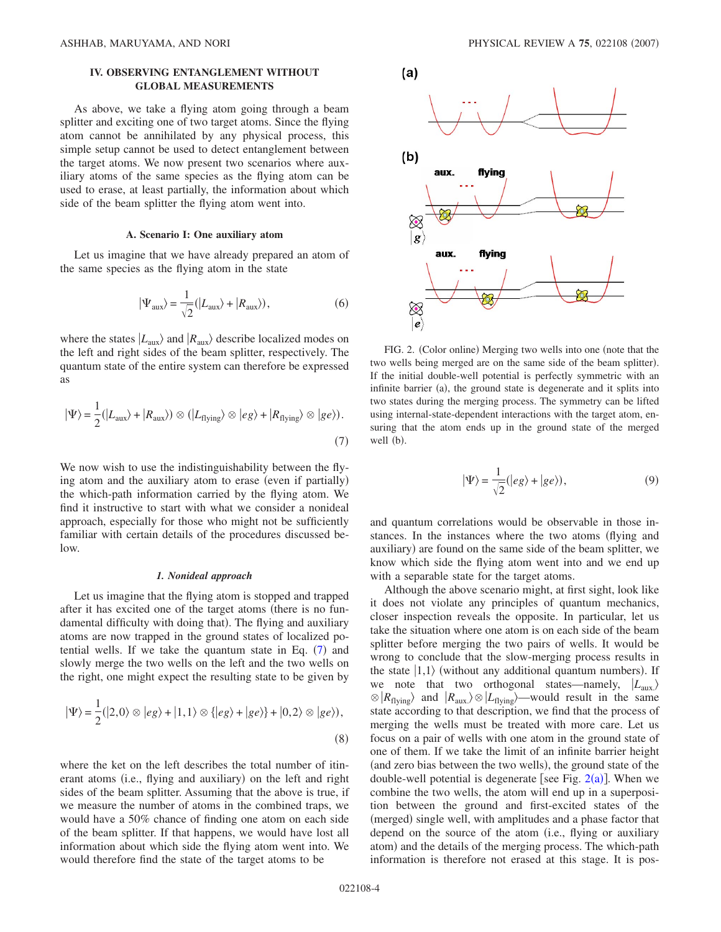# **IV. OBSERVING ENTANGLEMENT WITHOUT GLOBAL MEASUREMENTS**

As above, we take a flying atom going through a beam splitter and exciting one of two target atoms. Since the flying atom cannot be annihilated by any physical process, this simple setup cannot be used to detect entanglement between the target atoms. We now present two scenarios where auxiliary atoms of the same species as the flying atom can be used to erase, at least partially, the information about which side of the beam splitter the flying atom went into.

### **A. Scenario I: One auxiliary atom**

Let us imagine that we have already prepared an atom of the same species as the flying atom in the state

$$
|\Psi_{\text{aux}}\rangle = \frac{1}{\sqrt{2}}(|L_{\text{aux}}\rangle + |R_{\text{aux}}\rangle),\tag{6}
$$

where the states  $|L_{\text{aux}}\rangle$  and  $|R_{\text{aux}}\rangle$  describe localized modes on the left and right sides of the beam splitter, respectively. The quantum state of the entire system can therefore be expressed as

<span id="page-3-0"></span>
$$
|\Psi\rangle = \frac{1}{2} (|L_{\text{aux}}\rangle + |R_{\text{aux}}\rangle) \otimes (|L_{\text{flying}}\rangle \otimes |eg\rangle + |R_{\text{flying}}\rangle \otimes |ge\rangle). \tag{7}
$$

We now wish to use the indistinguishability between the flying atom and the auxiliary atom to erase (even if partially) the which-path information carried by the flying atom. We find it instructive to start with what we consider a nonideal approach, especially for those who might not be sufficiently familiar with certain details of the procedures discussed below.

## *1. Nonideal approach*

Let us imagine that the flying atom is stopped and trapped after it has excited one of the target atoms (there is no fundamental difficulty with doing that). The flying and auxiliary atoms are now trapped in the ground states of localized potential wells. If we take the quantum state in Eq.  $(7)$  $(7)$  $(7)$  and slowly merge the two wells on the left and the two wells on the right, one might expect the resulting state to be given by

<span id="page-3-2"></span>
$$
|\Psi\rangle = \frac{1}{2} (|2,0\rangle \otimes |eg\rangle + |1,1\rangle \otimes \{|eg\rangle + |ge\rangle\} + |0,2\rangle \otimes |ge\rangle),
$$
\n(8)

where the ket on the left describes the total number of itinerant atoms (i.e., flying and auxiliary) on the left and right sides of the beam splitter. Assuming that the above is true, if we measure the number of atoms in the combined traps, we would have a 50% chance of finding one atom on each side of the beam splitter. If that happens, we would have lost all information about which side the flying atom went into. We would therefore find the state of the target atoms to be

<span id="page-3-1"></span>

FIG. 2. (Color online) Merging two wells into one (note that the two wells being merged are on the same side of the beam splitter). If the initial double-well potential is perfectly symmetric with an infinite barrier (a), the ground state is degenerate and it splits into two states during the merging process. The symmetry can be lifted using internal-state-dependent interactions with the target atom, ensuring that the atom ends up in the ground state of the merged well (b).

$$
|\Psi\rangle = \frac{1}{\sqrt{2}} (|eg\rangle + |ge\rangle),\tag{9}
$$

and quantum correlations would be observable in those instances. In the instances where the two atoms (flying and auxiliary) are found on the same side of the beam splitter, we know which side the flying atom went into and we end up with a separable state for the target atoms.

Although the above scenario might, at first sight, look like it does not violate any principles of quantum mechanics, closer inspection reveals the opposite. In particular, let us take the situation where one atom is on each side of the beam splitter before merging the two pairs of wells. It would be wrong to conclude that the slow-merging process results in the state  $|1,1\rangle$  (without any additional quantum numbers). If we note that two orthogonal states—namely,  $|L_{\text{aux}}\rangle$  $\otimes$  *R*<sub>flying</sub> and *R*<sub>aux</sub>.  $\otimes$  *L*<sub>flying</sub> —would result in the same state according to that description, we find that the process of merging the wells must be treated with more care. Let us focus on a pair of wells with one atom in the ground state of one of them. If we take the limit of an infinite barrier height (and zero bias between the two wells), the ground state of the double-well potential is degenerate [see Fig.  $2(a)$  $2(a)$ ]. When we combine the two wells, the atom will end up in a superposition between the ground and first-excited states of the (merged) single well, with amplitudes and a phase factor that depend on the source of the atom (i.e., flying or auxiliary atom) and the details of the merging process. The which-path information is therefore not erased at this stage. It is pos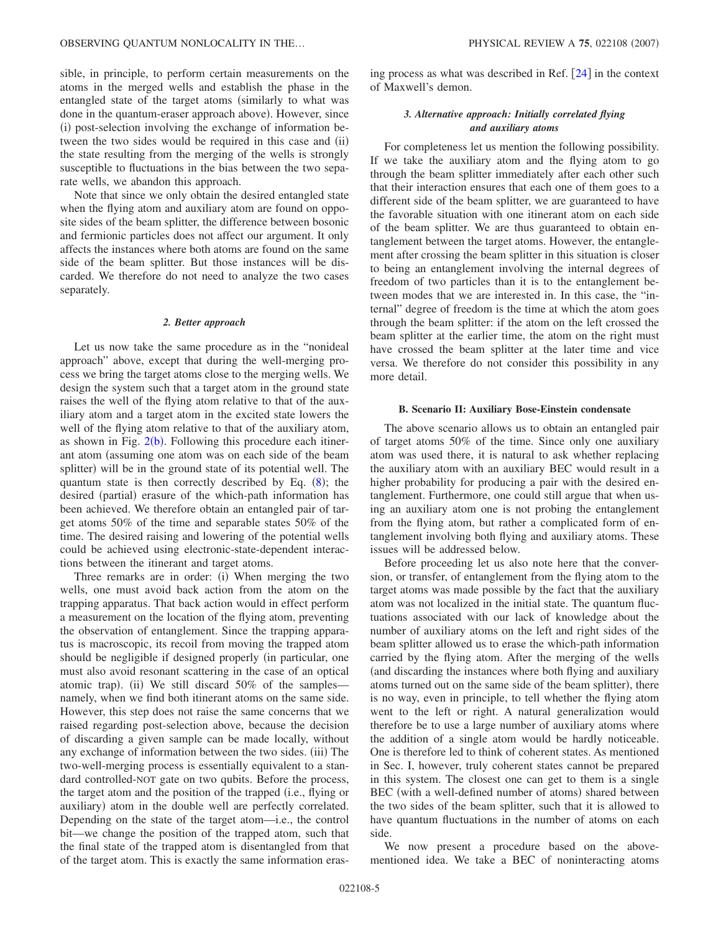sible, in principle, to perform certain measurements on the atoms in the merged wells and establish the phase in the entangled state of the target atoms (similarly to what was done in the quantum-eraser approach above). However, since (i) post-selection involving the exchange of information between the two sides would be required in this case and (ii) the state resulting from the merging of the wells is strongly susceptible to fluctuations in the bias between the two separate wells, we abandon this approach.

Note that since we only obtain the desired entangled state when the flying atom and auxiliary atom are found on opposite sides of the beam splitter, the difference between bosonic and fermionic particles does not affect our argument. It only affects the instances where both atoms are found on the same side of the beam splitter. But those instances will be discarded. We therefore do not need to analyze the two cases separately.

### *2. Better approach*

Let us now take the same procedure as in the "nonideal approach" above, except that during the well-merging process we bring the target atoms close to the merging wells. We design the system such that a target atom in the ground state raises the well of the flying atom relative to that of the auxiliary atom and a target atom in the excited state lowers the well of the flying atom relative to that of the auxiliary atom, as shown in Fig.  $2(b)$  $2(b)$ . Following this procedure each itinerant atom (assuming one atom was on each side of the beam splitter) will be in the ground state of its potential well. The quantum state is then correctly described by Eq.  $(8)$  $(8)$  $(8)$ ; the desired (partial) erasure of the which-path information has been achieved. We therefore obtain an entangled pair of target atoms 50% of the time and separable states 50% of the time. The desired raising and lowering of the potential wells could be achieved using electronic-state-dependent interactions between the itinerant and target atoms.

Three remarks are in order: (i) When merging the two wells, one must avoid back action from the atom on the trapping apparatus. That back action would in effect perform a measurement on the location of the flying atom, preventing the observation of entanglement. Since the trapping apparatus is macroscopic, its recoil from moving the trapped atom should be negligible if designed properly (in particular, one must also avoid resonant scattering in the case of an optical atomic trap). (ii) We still discard 50% of the samples namely, when we find both itinerant atoms on the same side. However, this step does not raise the same concerns that we raised regarding post-selection above, because the decision of discarding a given sample can be made locally, without any exchange of information between the two sides. (iii) The two-well-merging process is essentially equivalent to a standard controlled-NOT gate on two qubits. Before the process, the target atom and the position of the trapped (i.e., flying or auxiliary) atom in the double well are perfectly correlated. Depending on the state of the target atom—i.e., the control bit—we change the position of the trapped atom, such that the final state of the trapped atom is disentangled from that of the target atom. This is exactly the same information erasing process as what was described in Ref.  $\left|24\right|$  $\left|24\right|$  $\left|24\right|$  in the context of Maxwell's demon.

# *3. Alternative approach: Initially correlated flying and auxiliary atoms*

For completeness let us mention the following possibility. If we take the auxiliary atom and the flying atom to go through the beam splitter immediately after each other such that their interaction ensures that each one of them goes to a different side of the beam splitter, we are guaranteed to have the favorable situation with one itinerant atom on each side of the beam splitter. We are thus guaranteed to obtain entanglement between the target atoms. However, the entanglement after crossing the beam splitter in this situation is closer to being an entanglement involving the internal degrees of freedom of two particles than it is to the entanglement between modes that we are interested in. In this case, the "internal" degree of freedom is the time at which the atom goes through the beam splitter: if the atom on the left crossed the beam splitter at the earlier time, the atom on the right must have crossed the beam splitter at the later time and vice versa. We therefore do not consider this possibility in any more detail.

### **B. Scenario II: Auxiliary Bose-Einstein condensate**

The above scenario allows us to obtain an entangled pair of target atoms 50% of the time. Since only one auxiliary atom was used there, it is natural to ask whether replacing the auxiliary atom with an auxiliary BEC would result in a higher probability for producing a pair with the desired entanglement. Furthermore, one could still argue that when using an auxiliary atom one is not probing the entanglement from the flying atom, but rather a complicated form of entanglement involving both flying and auxiliary atoms. These issues will be addressed below.

Before proceeding let us also note here that the conversion, or transfer, of entanglement from the flying atom to the target atoms was made possible by the fact that the auxiliary atom was not localized in the initial state. The quantum fluctuations associated with our lack of knowledge about the number of auxiliary atoms on the left and right sides of the beam splitter allowed us to erase the which-path information carried by the flying atom. After the merging of the wells and discarding the instances where both flying and auxiliary atoms turned out on the same side of the beam splitter), there is no way, even in principle, to tell whether the flying atom went to the left or right. A natural generalization would therefore be to use a large number of auxiliary atoms where the addition of a single atom would be hardly noticeable. One is therefore led to think of coherent states. As mentioned in Sec. I, however, truly coherent states cannot be prepared in this system. The closest one can get to them is a single BEC (with a well-defined number of atoms) shared between the two sides of the beam splitter, such that it is allowed to have quantum fluctuations in the number of atoms on each side.

We now present a procedure based on the abovementioned idea. We take a BEC of noninteracting atoms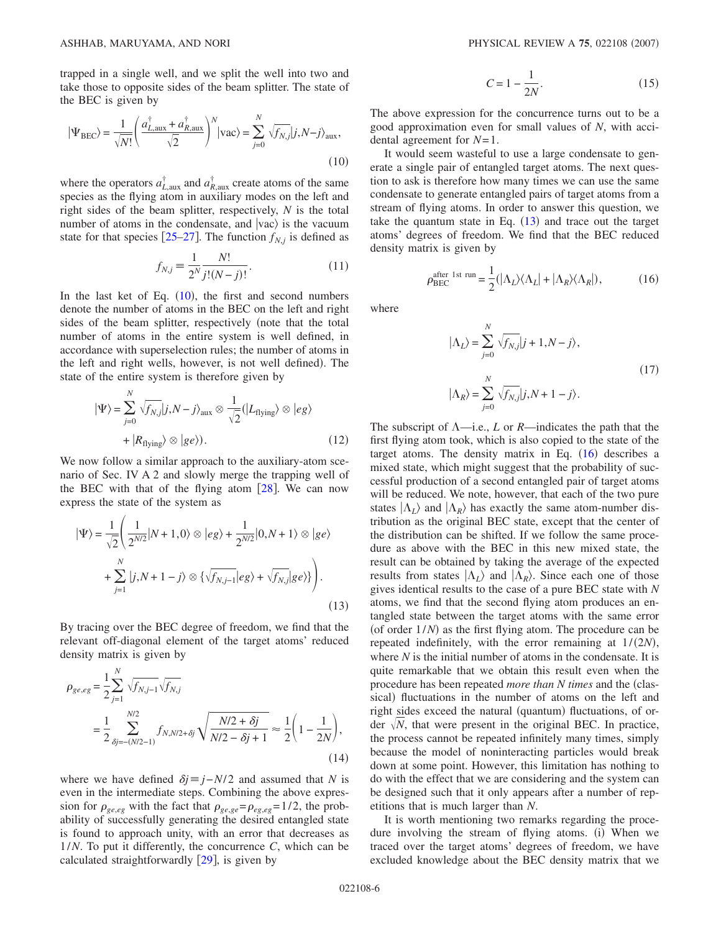trapped in a single well, and we split the well into two and take those to opposite sides of the beam splitter. The state of the BEC is given by

<span id="page-5-0"></span>
$$
|\Psi_{\text{BEC}}\rangle = \frac{1}{\sqrt{N!}} \left(\frac{a_{L,\text{aux}}^\dagger + a_{R,\text{aux}}^\dagger}{\sqrt{2}}\right)^N |\text{vac}\rangle = \sum_{j=0}^N \sqrt{f_{N,j}} |j, N - j\rangle_{\text{aux}},\tag{10}
$$

where the operators  $a_{L,\text{aux}}^{\dagger}$  and  $a_{R,\text{aux}}^{\dagger}$  create atoms of the same species as the flying atom in auxiliary modes on the left and right sides of the beam splitter, respectively, *N* is the total number of atoms in the condensate, and  $|vac\rangle$  is the vacuum state for that species  $[25-27]$  $[25-27]$  $[25-27]$ . The function  $f_{N,j}$  is defined as

$$
f_{N,j} = \frac{1}{2^N} \frac{N!}{j!(N-j)!}.
$$
 (11)

In the last ket of Eq.  $(10)$  $(10)$  $(10)$ , the first and second numbers denote the number of atoms in the BEC on the left and right sides of the beam splitter, respectively (note that the total number of atoms in the entire system is well defined, in accordance with superselection rules; the number of atoms in the left and right wells, however, is not well defined). The state of the entire system is therefore given by

$$
|\Psi\rangle = \sum_{j=0}^{N} \sqrt{f_{N,j}} |j, N - j\rangle_{\text{aux}} \otimes \frac{1}{\sqrt{2}} (|L_{\text{flying}}\rangle \otimes |eg\rangle + |R_{\text{flying}}\rangle \otimes |ge\rangle). \tag{12}
$$

We now follow a similar approach to the auxiliary-atom scenario of Sec. IV A 2 and slowly merge the trapping well of the BEC with that of the flying atom  $[28]$  $[28]$  $[28]$ . We can now express the state of the system as

<span id="page-5-1"></span>
$$
|\Psi\rangle = \frac{1}{\sqrt{2}} \left( \frac{1}{2^{N/2}} |N+1,0\rangle \otimes |eg\rangle + \frac{1}{2^{N/2}} |0,N+1\rangle \otimes |ge\rangle + \sum_{j=1}^{N} |j,N+1-j\rangle \otimes \left\{ \sqrt{f_{N,j-1}} |eg\rangle + \sqrt{f_{N,j}} |ge\rangle \right\} \right).
$$
\n(13)

By tracing over the BEC degree of freedom, we find that the relevant off-diagonal element of the target atoms' reduced density matrix is given by

$$
\rho_{ge,eg} = \frac{1}{2} \sum_{j=1}^{N} \sqrt{f_{N,j-1}} \sqrt{f_{N,j}}
$$
  
= 
$$
\frac{1}{2} \sum_{\delta j = -(N/2-1)}^{N/2} f_{N,N/2+\delta j} \sqrt{\frac{N/2+\delta j}{N/2-\delta j+1}} \approx \frac{1}{2} \left( 1 - \frac{1}{2N} \right),
$$
 (14)

where we have defined  $\delta i = j - N/2$  and assumed that *N* is even in the intermediate steps. Combining the above expression for  $\rho_{ge,eg}$  with the fact that  $\rho_{ge,ge} = \rho_{eg,eg} = 1/2$ , the probability of successfully generating the desired entangled state is found to approach unity, with an error that decreases as 1/*N*. To put it differently, the concurrence *C*, which can be calculated straightforwardly  $[29]$  $[29]$  $[29]$ , is given by

$$
C = 1 - \frac{1}{2N}.\tag{15}
$$

The above expression for the concurrence turns out to be a good approximation even for small values of *N*, with accidental agreement for *N*=1.

It would seem wasteful to use a large condensate to generate a single pair of entangled target atoms. The next question to ask is therefore how many times we can use the same condensate to generate entangled pairs of target atoms from a stream of flying atoms. In order to answer this question, we take the quantum state in Eq.  $(13)$  $(13)$  $(13)$  and trace out the target atoms' degrees of freedom. We find that the BEC reduced density matrix is given by

> $\rho_{\text{BEC}}^{\text{after 1st run}} = \frac{1}{2} (|\Lambda_L\rangle\langle\Lambda_L| + |\Lambda_R\rangle\langle\Lambda_R|)$  $, \t(16)$

<span id="page-5-2"></span>where

$$
|\Lambda_L\rangle = \sum_{j=0}^{N} \sqrt{f_{N,j}} |j+1, N-j\rangle,
$$
  

$$
|\Lambda_R\rangle = \sum_{j=0}^{N} \sqrt{f_{N,j}} |j, N+1-j\rangle.
$$
 (17)

The subscript of  $\Lambda$ —i.e., *L* or *R*—indicates the path that the first flying atom took, which is also copied to the state of the target atoms. The density matrix in Eq.  $(16)$  $(16)$  $(16)$  describes a mixed state, which might suggest that the probability of successful production of a second entangled pair of target atoms will be reduced. We note, however, that each of the two pure states  $|\Lambda_I\rangle$  and  $|\Lambda_R\rangle$  has exactly the same atom-number distribution as the original BEC state, except that the center of the distribution can be shifted. If we follow the same procedure as above with the BEC in this new mixed state, the result can be obtained by taking the average of the expected results from states  $|\Lambda_L\rangle$  and  $|\Lambda_R\rangle$ . Since each one of those gives identical results to the case of a pure BEC state with *N* atoms, we find that the second flying atom produces an entangled state between the target atoms with the same error (of order  $1/N$ ) as the first flying atom. The procedure can be repeated indefinitely, with the error remaining at  $1/(2N)$ , where *N* is the initial number of atoms in the condensate. It is quite remarkable that we obtain this result even when the procedure has been repeated *more than N times* and the (classical) fluctuations in the number of atoms on the left and right sides exceed the natural (quantum) fluctuations, of order  $\sqrt{N}$ , that were present in the original BEC. In practice, the process cannot be repeated infinitely many times, simply because the model of noninteracting particles would break down at some point. However, this limitation has nothing to do with the effect that we are considering and the system can be designed such that it only appears after a number of repetitions that is much larger than *N*.

It is worth mentioning two remarks regarding the procedure involving the stream of flying atoms. (i) When we traced over the target atoms' degrees of freedom, we have excluded knowledge about the BEC density matrix that we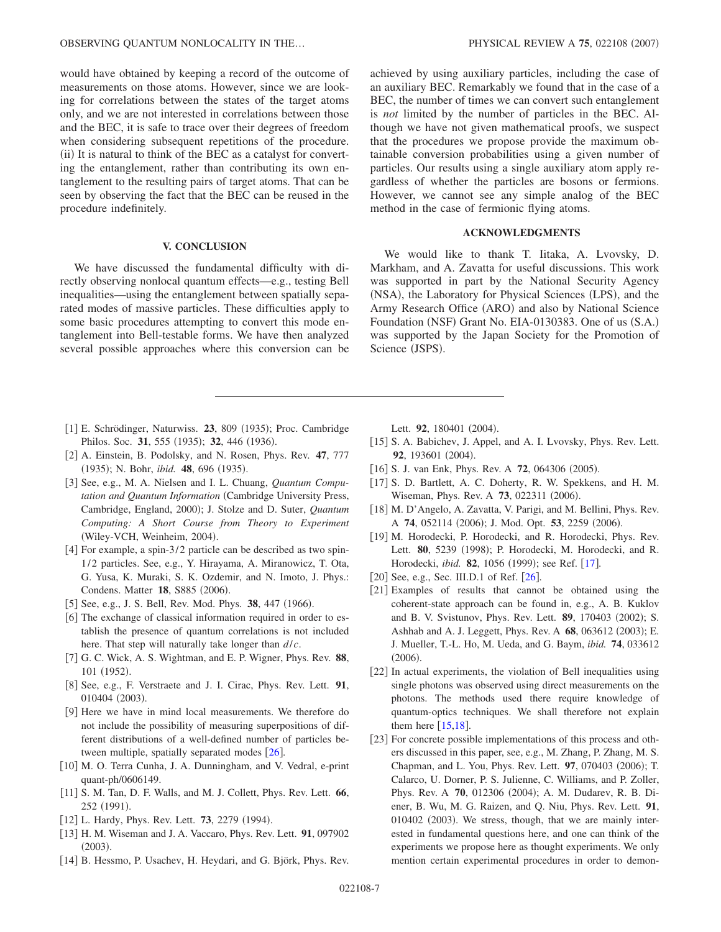would have obtained by keeping a record of the outcome of measurements on those atoms. However, since we are looking for correlations between the states of the target atoms only, and we are not interested in correlations between those and the BEC, it is safe to trace over their degrees of freedom when considering subsequent repetitions of the procedure. (ii) It is natural to think of the BEC as a catalyst for converting the entanglement, rather than contributing its own entanglement to the resulting pairs of target atoms. That can be seen by observing the fact that the BEC can be reused in the procedure indefinitely.

## **V. CONCLUSION**

We have discussed the fundamental difficulty with directly observing nonlocal quantum effects—e.g., testing Bell inequalities—using the entanglement between spatially separated modes of massive particles. These difficulties apply to some basic procedures attempting to convert this mode entanglement into Bell-testable forms. We have then analyzed several possible approaches where this conversion can be

- <span id="page-6-0"></span>[1] E. Schrödinger, Naturwiss. 23, 809 (1935); Proc. Cambridge Philos. Soc. 31, 555 (1935); 32, 446 (1936).
- <span id="page-6-1"></span>2 A. Einstein, B. Podolsky, and N. Rosen, Phys. Rev. **47**, 777 (1935); N. Bohr, *ibid.* **48**, 696 (1935).
- <span id="page-6-2"></span>3 See, e.g., M. A. Nielsen and I. L. Chuang, *Quantum Computation and Quantum Information* Cambridge University Press, Cambridge, England, 2000); J. Stolze and D. Suter, *Quantum Computing: A Short Course from Theory to Experiment* (Wiley-VCH, Weinheim, 2004).
- <span id="page-6-3"></span>[4] For example, a spin-3/2 particle can be described as two spin-1/2 particles. See, e.g., Y. Hirayama, A. Miranowicz, T. Ota, G. Yusa, K. Muraki, S. K. Ozdemir, and N. Imoto, J. Phys.: Condens. Matter 18, S885 (2006).
- <span id="page-6-4"></span>[5] See, e.g., J. S. Bell, Rev. Mod. Phys. 38, 447 (1966).
- <span id="page-6-5"></span>[6] The exchange of classical information required in order to establish the presence of quantum correlations is not included here. That step will naturally take longer than *d*/*c*.
- <span id="page-6-6"></span>7 G. C. Wick, A. S. Wightman, and E. P. Wigner, Phys. Rev. **88**, 101 (1952).
- 8 See, e.g., F. Verstraete and J. I. Cirac, Phys. Rev. Lett. **91**, 010404 (2003).
- <span id="page-6-7"></span>9 Here we have in mind local measurements. We therefore do not include the possibility of measuring superpositions of different distributions of a well-defined number of particles between multiple, spatially separated modes  $[26]$  $[26]$  $[26]$ .
- <span id="page-6-8"></span>[10] M. O. Terra Cunha, J. A. Dunningham, and V. Vedral, e-print quant-ph/0606149.
- <span id="page-6-9"></span>[11] S. M. Tan, D. F. Walls, and M. J. Collett, Phys. Rev. Lett. **66**, 252 (1991).
- [12] L. Hardy, Phys. Rev. Lett. **73**, 2279 (1994).
- 13 H. M. Wiseman and J. A. Vaccaro, Phys. Rev. Lett. **91**, 097902  $(2003).$
- [14] B. Hessmo, P. Usachev, H. Heydari, and G. Björk, Phys. Rev.

achieved by using auxiliary particles, including the case of an auxiliary BEC. Remarkably we found that in the case of a BEC, the number of times we can convert such entanglement is *not* limited by the number of particles in the BEC. Although we have not given mathematical proofs, we suspect that the procedures we propose provide the maximum obtainable conversion probabilities using a given number of particles. Our results using a single auxiliary atom apply regardless of whether the particles are bosons or fermions. However, we cannot see any simple analog of the BEC method in the case of fermionic flying atoms.

## **ACKNOWLEDGMENTS**

We would like to thank T. Iitaka, A. Lvovsky, D. Markham, and A. Zavatta for useful discussions. This work was supported in part by the National Security Agency (NSA), the Laboratory for Physical Sciences (LPS), and the Army Research Office (ARO) and also by National Science Foundation (NSF) Grant No. EIA-0130383. One of us (S.A.) was supported by the Japan Society for the Promotion of Science (JSPS).

Lett. 92, 180401 (2004).

- <span id="page-6-17"></span>[15] S. A. Babichev, J. Appel, and A. I. Lvovsky, Phys. Rev. Lett. 92, 193601 (2004).
- [16] S. J. van Enk, Phys. Rev. A 72, 064306 (2005).
- <span id="page-6-16"></span>[17] S. D. Bartlett, A. C. Doherty, R. W. Spekkens, and H. M. Wiseman, Phys. Rev. A **73**, 022311 (2006).
- <span id="page-6-10"></span>[18] M. D'Angelo, A. Zavatta, V. Parigi, and M. Bellini, Phys. Rev. A 74, 052114 (2006); J. Mod. Opt. 53, 2259 (2006).
- <span id="page-6-11"></span>[19] M. Horodecki, P. Horodecki, and R. Horodecki, Phys. Rev. Lett. 80, 5239 (1998); P. Horodecki, M. Horodecki, and R. Horodecki, *ibid.* 82, 1056 (1999); see Ref. [[17](#page-6-16)].
- <span id="page-6-12"></span>[20] See, e.g., Sec. III.D.1 of Ref.  $[26]$  $[26]$  $[26]$ .
- <span id="page-6-13"></span>[21] Examples of results that cannot be obtained using the coherent-state approach can be found in, e.g., A. B. Kuklov and B. V. Svistunov, Phys. Rev. Lett. 89, 170403 (2002); S. Ashhab and A. J. Leggett, Phys. Rev. A 68, 063612 (2003); E. J. Mueller, T.-L. Ho, M. Ueda, and G. Baym, *ibid.* **74**, 033612  $(2006).$
- <span id="page-6-14"></span>[22] In actual experiments, the violation of Bell inequalities using single photons was observed using direct measurements on the photons. The methods used there require knowledge of quantum-optics techniques. We shall therefore not explain them here  $[15,18]$  $[15,18]$  $[15,18]$  $[15,18]$ .
- <span id="page-6-15"></span>[23] For concrete possible implementations of this process and others discussed in this paper, see, e.g., M. Zhang, P. Zhang, M. S. Chapman, and L. You, Phys. Rev. Lett. 97, 070403 (2006); T. Calarco, U. Dorner, P. S. Julienne, C. Williams, and P. Zoller, Phys. Rev. A 70, 012306 (2004); A. M. Dudarev, R. B. Diener, B. Wu, M. G. Raizen, and Q. Niu, Phys. Rev. Lett. **91**, 010402 (2003). We stress, though, that we are mainly interested in fundamental questions here, and one can think of the experiments we propose here as thought experiments. We only mention certain experimental procedures in order to demon-